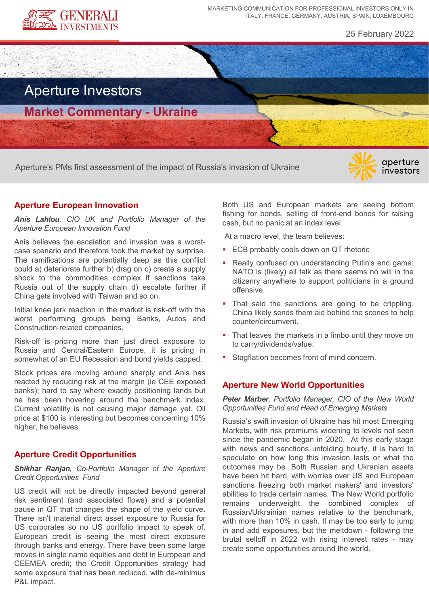

MARKETING COMMUNICATION FOR PROFESSIONAL INVESTORS ONLY IN ITALY, FRANCE, GERMANY, AUSTRIA, SPAIN, LUXEMBOURG

25 February 2022

# Aperture Investors

**Market Commentary - Ukraine**

Aperture's PMs first assessment of the impact of Russia's invasion of Ukraine

# aperture investors

# **Aperture European Innovation**

*Anis Lahlou, CIO UK and Portfolio Manager of the Aperture European Innovation Fund*

Anis believes the escalation and invasion was a worstcase scenario and therefore took the market by surprise. The ramifications are potentially deep as this conflict could a) deteriorate further b) drag on c) create a supply shock to the commodities complex if sanctions take Russia out of the supply chain d) escalate further if China gets involved with Taiwan and so on.

Initial knee jerk reaction in the market is risk-off with the worst performing groups being Banks, Autos and Construction-related companies.

Risk-off is pricing more than just direct exposure to Russia and Central/Eastern Europe, it is pricing in somewhat of an EU Recession and bond yields capped.

Stock prices are moving around sharply and Anis has reacted by reducing risk at the margin (ie CEE exposed banks); hard to say where exactly positioning lands but he has been hovering around the benchmark index. Current volatility is not causing major damage yet. Oil price at \$100 is interesting but becomes concerning 10% higher, he believes.

### **Aperture Credit Opportunities**

#### *Shikhar Ranjan, Co-Portfolio Manager of the Aperture Credit Opportunities Fund*

US credit will not be directly impacted beyond general risk sentiment (and associated flows) and a potential pause in QT that changes the shape of the yield curve. There isn't material direct asset exposure to Russia for US corporates so no US portfolio impact to speak of. European credit is seeing the most direct exposure through banks and energy. There have been some large moves in single name equities and debt in European and CEEMEA credit; the Credit Opportunities strategy had some exposure that has been reduced, with de-minimus P&L impact.

Both US and European markets are seeing bottom fishing for bonds, selling of front-end bonds for raising cash, but no panic at an index level.

At a macro level, the team believes:

- ECB probably cools down on QT rhetoric
- Really confused on understanding Putin's end game: NATO is (likely) all talk as there seems no will in the citizenry anywhere to support politicians in a ground offensive.
- That said the sanctions are going to be crippling. China likely sends them aid behind the scenes to help counter/circumvent.
- That leaves the markets in a limbo until they move on to carry/dividends/value.
- Stagflation becomes front of mind concern.

## **Aperture New World Opportunities**

*Peter Marber, Portfolio Manager, CIO of the New World Opportunities Fund and Head of Emerging Markets*

Russia's swift invasion of Ukraine has hit most Emerging Markets, with risk premiums widening to levels not seen since the pandemic began in 2020. At this early stage with news and sanctions unfolding hourly, it is hard to speculate on how long this invasion lasts or what the outcomes may be. Both Russian and Ukranian assets have been hit hard, with worries over US and European sanctions freezing both market makers' and investors' abilities to trade certain names. The New World portfolio remains underweight the combined complex of Russian/Urkrainian names relative to the benchmark, with more than 10% in cash. It may be too early to jump in and add exposures, but the meltdown - following the brutal selloff in 2022 with rising interest rates - may create some opportunities around the world.